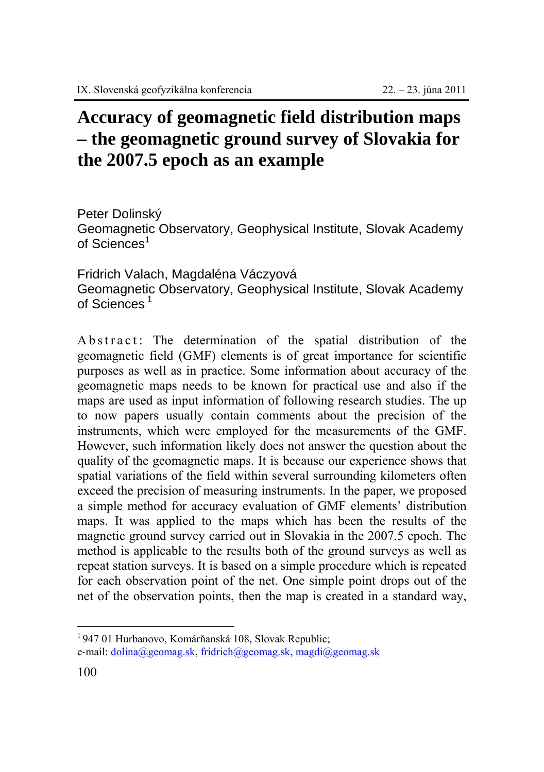## **Accuracy of geomagnetic field distribution maps – the geomagnetic ground survey of Slovakia for the 2007.5 epoch as an example**

Peter Dolinský Geomagnetic Observatory, Geophysical Institute, Slovak Academy of Sciences<sup>1</sup>

Fridrich Valach, Magdaléna Váczyová Geomagnetic Observatory, Geophysical Institute, Slovak Academy of Sciences<sup>1</sup>

A b s t r act: The determination of the spatial distribution of the geomagnetic field (GMF) elements is of great importance for scientific purposes as well as in practice. Some information about accuracy of the geomagnetic maps needs to be known for practical use and also if the maps are used as input information of following research studies. The up to now papers usually contain comments about the precision of the instruments, which were employed for the measurements of the GMF. However, such information likely does not answer the question about the quality of the geomagnetic maps. It is because our experience shows that spatial variations of the field within several surrounding kilometers often exceed the precision of measuring instruments. In the paper, we proposed a simple method for accuracy evaluation of GMF elements' distribution maps. It was applied to the maps which has been the results of the magnetic ground survey carried out in Slovakia in the 2007.5 epoch. The method is applicable to the results both of the ground surveys as well as repeat station surveys. It is based on a simple procedure which is repeated for each observation point of the net. One simple point drops out of the net of the observation points, then the map is created in a standard way,

 $\overline{a}$ 

<sup>1 947 01</sup> Hurbanovo, Komárňanská 108, Slovak Republic;

e-mail: dolina@geomag.sk, fridrich@geomag.sk, magdi@geomag.sk